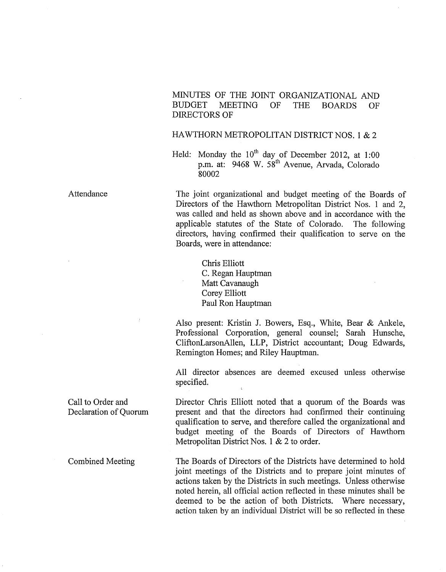MINUTES OF THE JOINT ORGANIZATIONAL AND<br>BUDGET MEETING OF THE BOARDS OF MEETING OF THE BOARDS OF DIRECTORS OF

## HAWTHORN METROPOLITAN DISTRICT NOS. 1 & 2

Held: Monday the  $10^{th}$  day of December 2012, at 1:00 p.m. at: 9468 W. 58<sup>th</sup> Avenue, Arvada, Colorado 80002

The joint organizational and budget meeting of the Boards of Directors of the Hawthorn Metropolitan District Nos. 1 and 2, was called and held as shown above and in accordance with the applicable statutes of the State of Colorado. The following directors, having confirmed their qualification to serve on the Boards, were in attendance:

Chris Elliott C. Regan Hauptman Matt Cavanaugh Corey Elliott Paul Ron Hauptman

Also present: Kristin J. Bowers, Esq., White, Bear & Ankele, Professional Corporation, general counsel; Sarah Hunsche, CliftonLarsonAllen, LLP, District accountant; Doug Edwards, Remington Homes; and Riley Hauptman.

All director absences are deemed excused unless otherwise specified.

Director Chris Elliott noted that a quorum of the Boards was present and that the directors had confirmed their continuing qualification to serve, and therefore called the organizational and budget meeting of the Boards of Directors of Hawthorn Metropolitan District Nos. 1 & 2 to order.

The Boards of Directors of the Districts have determined to hold joint meetings of the Districts and to prepare joint minutes of actions taken by the Districts in such meetings. Unless otherwise noted herein, all official action reflected in these minutes shall be deemed to be the action of both Districts. Where necessary, action taken by an individual District will be so reflected in these

Attendance

Call to Order and Declaration of Quorum

Combined Meeting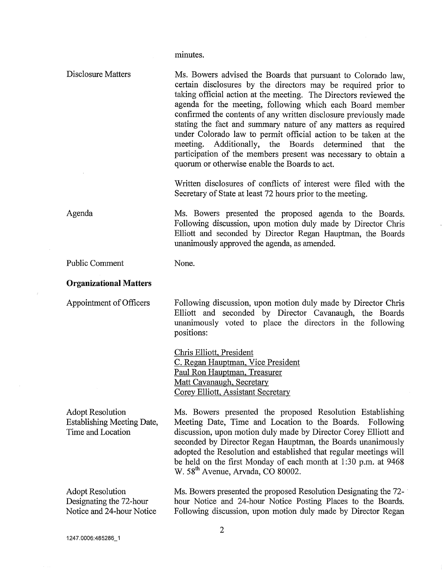minutes.

| Disclosure Matters                                                                | Ms. Bowers advised the Boards that pursuant to Colorado law,<br>certain disclosures by the directors may be required prior to<br>taking official action at the meeting. The Directors reviewed the<br>agenda for the meeting, following which each Board member<br>confirmed the contents of any written disclosure previously made<br>stating the fact and summary nature of any matters as required<br>under Colorado law to permit official action to be taken at the<br>meeting. Additionally, the Boards determined that<br>the<br>participation of the members present was necessary to obtain a<br>quorum or otherwise enable the Boards to act. |  |  |  |
|-----------------------------------------------------------------------------------|---------------------------------------------------------------------------------------------------------------------------------------------------------------------------------------------------------------------------------------------------------------------------------------------------------------------------------------------------------------------------------------------------------------------------------------------------------------------------------------------------------------------------------------------------------------------------------------------------------------------------------------------------------|--|--|--|
|                                                                                   | Written disclosures of conflicts of interest were filed with the<br>Secretary of State at least 72 hours prior to the meeting.                                                                                                                                                                                                                                                                                                                                                                                                                                                                                                                          |  |  |  |
| Agenda                                                                            | Ms. Bowers presented the proposed agenda to the Boards.<br>Following discussion, upon motion duly made by Director Chris<br>Elliott and seconded by Director Regan Hauptman, the Boards<br>unanimously approved the agenda, as amended.                                                                                                                                                                                                                                                                                                                                                                                                                 |  |  |  |
| <b>Public Comment</b>                                                             | None.                                                                                                                                                                                                                                                                                                                                                                                                                                                                                                                                                                                                                                                   |  |  |  |
| <b>Organizational Matters</b>                                                     |                                                                                                                                                                                                                                                                                                                                                                                                                                                                                                                                                                                                                                                         |  |  |  |
| Appointment of Officers                                                           | Following discussion, upon motion duly made by Director Chris<br>Elliott and seconded by Director Cavanaugh, the Boards<br>unanimously voted to place the directors in the following<br>positions:                                                                                                                                                                                                                                                                                                                                                                                                                                                      |  |  |  |
|                                                                                   | Chris Elliott, President<br>C. Regan Hauptman, Vice President<br>Paul Ron Hauptman, Treasurer<br>Matt Cavanaugh, Secretary<br>Corey Elliott, Assistant Secretary                                                                                                                                                                                                                                                                                                                                                                                                                                                                                        |  |  |  |
| <b>Adopt Resolution</b><br><b>Establishing Meeting Date,</b><br>Time and Location | Ms. Bowers presented the proposed Resolution Establishing<br>Meeting Date, Time and Location to the Boards. Following<br>discussion, upon motion duly made by Director Corey Elliott and<br>seconded by Director Regan Hauptman, the Boards unanimously<br>adopted the Resolution and established that regular meetings will<br>be held on the first Monday of each month at 1:30 p.m. at 9468<br>W. 58 <sup>th</sup> Avenue, Arvada, CO 80002.                                                                                                                                                                                                         |  |  |  |
| <b>Adopt Resolution</b><br>Designating the 72-hour<br>Notice and 24-hour Notice   | Ms. Bowers presented the proposed Resolution Designating the 72-<br>hour Notice and 24-hour Notice Posting Places to the Boards.<br>Following discussion, upon motion duly made by Director Regan                                                                                                                                                                                                                                                                                                                                                                                                                                                       |  |  |  |

 $\bar{z}$ 

 $\vec{z}$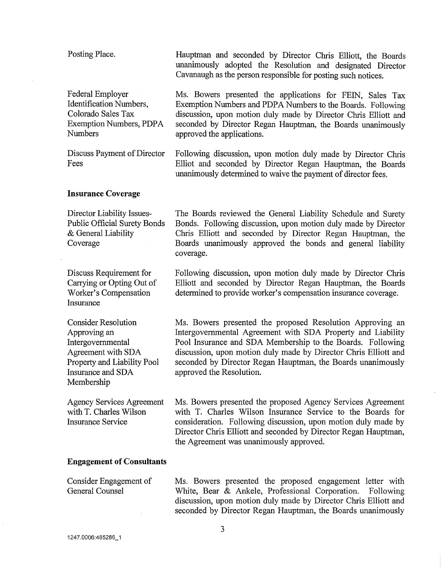| Posting Place.                                                                                                                                          | Hauptman and seconded by Director Chris Elliott, the Boards<br>unanimously adopted the Resolution and designated Director<br>Cavanaugh as the person responsible for posting such notices.                                                                                                                                                           |  |
|---------------------------------------------------------------------------------------------------------------------------------------------------------|------------------------------------------------------------------------------------------------------------------------------------------------------------------------------------------------------------------------------------------------------------------------------------------------------------------------------------------------------|--|
| <b>Federal Employer</b><br>Identification Numbers,<br>Colorado Sales Tax<br>Exemption Numbers, PDPA<br><b>Numbers</b>                                   | Ms. Bowers presented the applications for FEIN, Sales Tax<br>Exemption Numbers and PDPA Numbers to the Boards. Following<br>discussion, upon motion duly made by Director Chris Elliott and<br>seconded by Director Regan Hauptman, the Boards unanimously<br>approved the applications.                                                             |  |
| Discuss Payment of Director<br>Fees                                                                                                                     | Following discussion, upon motion duly made by Director Chris<br>Elliot and seconded by Director Regan Hauptman, the Boards<br>unanimously determined to waive the payment of director fees.                                                                                                                                                         |  |
| <b>Insurance Coverage</b>                                                                                                                               |                                                                                                                                                                                                                                                                                                                                                      |  |
| Director Liability Issues-<br><b>Public Official Surety Bonds</b><br>& General Liability<br>Coverage                                                    | The Boards reviewed the General Liability Schedule and Surety<br>Bonds. Following discussion, upon motion duly made by Director<br>Chris Elliott and seconded by Director Regan Hauptman, the<br>Boards unanimously approved the bonds and general liability<br>coverage.                                                                            |  |
| Discuss Requirement for<br>Carrying or Opting Out of<br>Worker's Compensation<br>Insurance                                                              | Following discussion, upon motion duly made by Director Chris<br>Elliott and seconded by Director Regan Hauptman, the Boards<br>determined to provide worker's compensation insurance coverage.                                                                                                                                                      |  |
| <b>Consider Resolution</b><br>Approving an<br>Intergovernmental<br>Agreement with SDA<br>Property and Liability Pool<br>Insurance and SDA<br>Membership | Ms. Bowers presented the proposed Resolution Approving an<br>Intergovernmental Agreement with SDA Property and Liability<br>Pool Insurance and SDA Membership to the Boards. Following<br>discussion, upon motion duly made by Director Chris Elliott and<br>seconded by Director Regan Hauptman, the Boards unanimously<br>approved the Resolution. |  |
| <b>Agency Services Agreement</b><br>with T. Charles Wilson<br><b>Insurance Service</b>                                                                  | Ms. Bowers presented the proposed Agency Services Agreement<br>with T. Charles Wilson Insurance Service to the Boards for<br>consideration. Following discussion, upon motion duly made by<br>Director Chris Elliott and seconded by Director Regan Hauptman,<br>the Agreement was unanimously approved.                                             |  |
| <b>Engagement of Consultants</b>                                                                                                                        |                                                                                                                                                                                                                                                                                                                                                      |  |
| Consider Engagement of<br>General Counsel                                                                                                               | Ms. Bowers presented the proposed engagement letter with<br>White, Bear & Ankele, Professional Corporation.<br>Following<br>discussion, upon motion duly made by Director Chris Elliott and<br>seconded by Director Regan Hauptman, the Boards unanimously                                                                                           |  |
| 3                                                                                                                                                       |                                                                                                                                                                                                                                                                                                                                                      |  |

 $\mathcal{A}^{\mathcal{A}}$ 

 $\sim$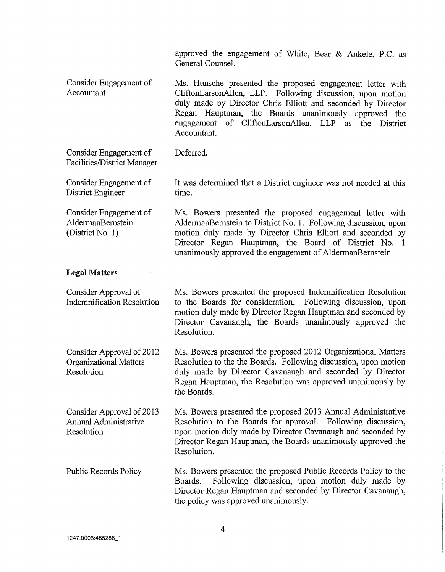approved the engagement of White, Bear & Ankele, P.C. as General Counsel.

Consider Engagement of Accountant Ms. Hunsche presented the proposed engagement letter with CliftonLarsonAllen, LLP. Following discussion, upon motion duly made by Director Chris Elliott and seconded by Director Regan Hauptman, the Boards unanimously approved the engagement of CliftonLarsonAllen, LLP as the District Accountant.

Consider Engagement of Facilities/District Manager Deferred.

Consider Engagement of District Engineer

Consider Engagement of AldermanBemstein (District No. 1)

It was determined that a District engineer was not needed at this time.

Ms. Bowers presented the proposed engagement letter with AldermanBemstein to District No. 1. Following discussion, upon motion duly made by Director Chris Elliott and seconded by Director Regan Hauptman, the Board of District No. 1 unanimously approved the engagement of AldermanBemstein.

## **Legal Matters**

Consider Approval of Indemnification Resolution Ms. Bowers presented the proposed Indemnification Resolution to the Boards for consideration. Following discussion, upon motion duly made by Director Regan Hauptman and seconded by Director Cavanaugh, the Boards unanimously approved the Resolution.

Consider Approval of 2012 Organizational Matters Resolution Ms. Bowers presented the proposed 2012 Organizational Matters Resolution to the the Boards. Following discussion, upon motion duly made by Director Cavanaugh and seconded by Director Regan Hauptman, the Resolution was approved unanimously by the Boards.

Consider Approval of 2013 Annual Administrative Resolution Ms. Bowers presented the proposed 2013 Annual Administrative Resolution to the Boards for approval. Following discussion, upon motion duly made by Director Cavanaugh and seconded by Director Regan Hauptman, the Boards unanimously approved the Resolution.

Public Records Policy Ms. Bowers presented the proposed Public Records Policy to the Boards. Following discussion, upon motion duly made by Director Regan Hauptman and seconded by Director Cavanaugh, the policy was approved unanimously.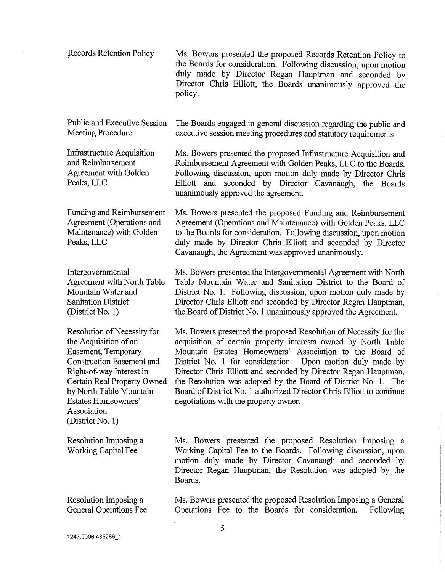| Records Retention Policy | Ms. Bowers presented the proposed Records Retention Policy to   |
|--------------------------|-----------------------------------------------------------------|
|                          | the Boards for consideration. Following discussion, upon motion |
|                          | duly made by Director Regan Hauptman and seconded by            |
|                          | Director Chris Elliott, the Boards unanimously approved the     |
|                          | policy.                                                         |

Public and Executive Session The Boards engaged in general discussion regarding the public and<br>Meeting Procedure executive session meeting procedures and statutory requirements executive session meeting procedures and statutory requirements

unanimously approved the agreement.

Infrastructure Acquisition and Reimbursement Agreement with Golden Peaks, LLC

Funding and Reimbursement Agreement (Operations and Maintenance) with Golden Peaks, LLC

Intergovernmental Agreement with North Table Mountain Water and Sanitation District (District No. 1)

Resolution of Necessity for the Acquisition of an Easement, Temporary Construction Easement and Right-of-way Interest in Certain Real Property Owned by North Table Mountain Estates Homeowners' Association (District No. 1)

Resolution Imposing a Working Capital Fee

Resolution Imposing a General Operations Fee Ms. Bowers presented the proposed Infrastructure Acquisition and Reimbursement Agreement with Golden Peaks, LLC to the Boards. Following discussion, upon motion duly made by Director Chris

Elliott and seconded by Director Cavanaugh, the Boards

Ms. Bowers presented the proposed Funding and Reimbursement Agreement (Operations and Maintenance) with Golden Peaks, LLC to the Boards for consideration. Following discussion, upon motion duly made by Director Chris Elliott and seconded by Director Cavanaugh, the Agreement was approved unanimously.

Ms. Bowers presented the Intergovernmental Agreement with North Table Mountain Water and Sanitation District to the Board of District No. 1. Following discussion, upon motion duly made by Director Chris Elliott and seconded by Director Regan Hauptman, the Board of District No. 1 unanimously approved the Agreement.

Ms. Bowers presented the proposed Resolution of Necessity for the acquisition of certain property interests owned by North Table Mountain Estates Homeowners' Association to the Board of District No. 1 for consideration. Upon motion duly made by Director Chris Elliott and seconded by Director Regan Hauptman, the Resolution was adopted by the Board of District No. 1. The Board of District No. 1 authorized Director Chris Elliott to continue negotiations with the property owner.

Ms. Bowers presented the proposed Resolution Imposing a Working Capital Fee to the Boards. Following discussion, upon motion duly made by Director Cavanaugh and seconded by Director Regan Hauptman, the Resolution was adopted by the Boards.

Ms. Bowers presented the proposed Resolution Imposing a General Operations Fee to the Boards for consideration. Following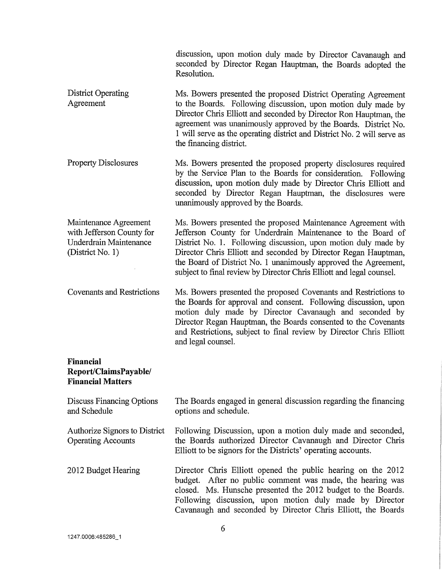discussion, upon motion duly made by Director Cavanaugh and seconded by Director Regan Hauptman, the Boards adopted the Resolution.

- District Operating Agreement Ms. Bowers presented the proposed District Operating Agreement to the Boards. Following discussion, upon motion duly made by Director Chris Elliott and seconded by Director Ron Hauptman, the agreement was unanimously approved by the Boards. District No. 1 will serve as the operating district and District No. 2 will serve as the financing district.
- Property Disclosures Ms. Bowers presented the proposed property disclosures required by the Service Plan to the Boards for consideration. Following discussion, upon motion duly made by Director Chris Elliott and seconded by Director Regan Hauptman, the disclosures were unanimously approved by the Boards.

Maintenance Agreement with Jefferson County for Underdrain Maintenance (District No. 1) Ms. Bowers presented the proposed Maintenance Agreement with Jefferson County for Underdrain Maintenance to the Board of District No. 1. Following discussion, upon motion duly made by Director Chris Elliott and seconded by Director Regan Hauptman, the Board of District No. 1 unanimously approved the Agreement, subject to final review by Director Chris Elliott and legal counsel.

Covenants and Restrictions Ms. Bowers presented the proposed Covenants and Restrictions to the Boards for approval and consent. Following discussion, upon motion duly made by Director Cavanaugh and seconded by Director Regan Hauptman, the Boards consented to the Covenants and Restrictions, subject to final review by Director Chris Elliott and legal counsel.

## **Financial Report/ClaimsPayable/ Financial Matters**

| <b>Discuss Financing Options</b><br>and Schedule           | The Boards engaged in general discussion regarding the financing<br>options and schedule.                                                                                                                                                                                                                            |
|------------------------------------------------------------|----------------------------------------------------------------------------------------------------------------------------------------------------------------------------------------------------------------------------------------------------------------------------------------------------------------------|
| Authorize Signors to District<br><b>Operating Accounts</b> | Following Discussion, upon a motion duly made and seconded,<br>the Boards authorized Director Cavanaugh and Director Chris<br>Elliott to be signors for the Districts' operating accounts.                                                                                                                           |
| 2012 Budget Hearing                                        | Director Chris Elliott opened the public hearing on the 2012<br>budget. After no public comment was made, the hearing was<br>closed. Ms. Hunsche presented the 2012 budget to the Boards.<br>Following discussion, upon motion duly made by Director<br>Cavanaugh and seconded by Director Chris Elliott, the Boards |